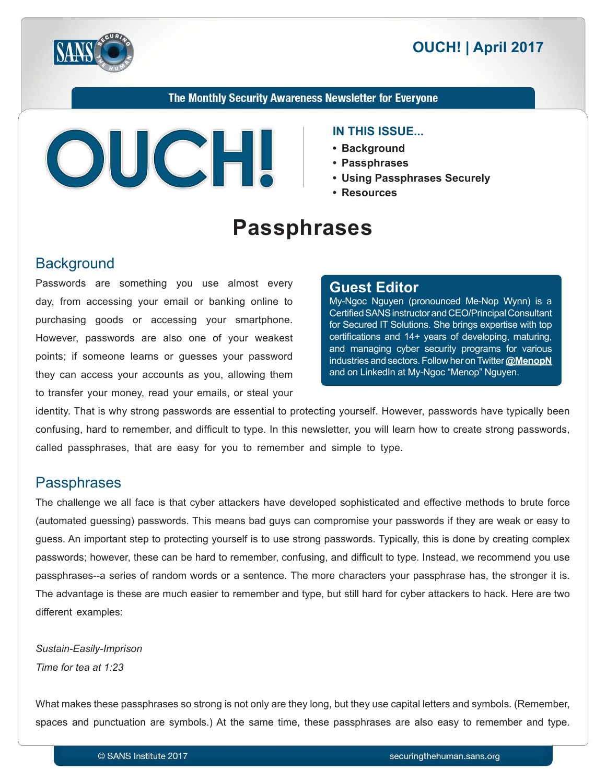



#### The Monthly Security Awareness Newsletter for Everyone



#### **IN THIS ISSUE...**

- **Background•**
- **Passphrases•**
- Using Passphrases Securely
- **Resources•**

# **Passphrases**

### **Background**

Passwords are something you use almost every day, from accessing your email or banking online to purchasing goods or accessing your smartphone. However, passwords are also one of your weakest points; if someone learns or guesses your password they can access your accounts as you, allowing them to transfer your money, read your emails, or steal your

#### **Editor Guest**

My-Ngoc Nguyen (pronounced Me-Nop Wynn) is a Certified SANS instructor and CEO/Principal Consultant for Secured IT Solutions. She brings expertise with top certifications and 14+ years of developing, maturing, and managing cyber security programs for various industries and sectors. Follow her on Twitter **@[MenopN](https://twitter.com/MenopN)** and on LinkedIn at My-Ngoc "Menop" Nguyen.

identity. That is why strong passwords are essential to protecting yourself. However, passwords have typically been confusing, hard to remember, and difficult to type. In this newsletter, you will learn how to create strong passwords, called passphrases, that are easy for you to remember and simple to type.

#### **Passphrases**

The challenge we all face is that cyber attackers have developed sophisticated and effective methods to brute force (automated guessing) passwords. This means bad guys can compromise your passwords if they are weak or easy to quess. An important step to protecting yourself is to use strong passwords. Typically, this is done by creating complex passwords; however, these can be hard to remember, confusing, and difficult to type. Instead, we recommend you use passphrases--a series of random words or a sentence. The more characters your passphrase has, the stronger it is. The advantage is these are much easier to remember and type, but still hard for cyber attackers to hack. Here are two different examples:

**Sustain-Easily-Imprison** *Time for tea at 1:23* 

What makes these passphrases so strong is not only are they long, but they use capital letters and symbols. (Remember, spaces and punctuation are symbols.) At the same time, these passphrases are also easy to remember and type.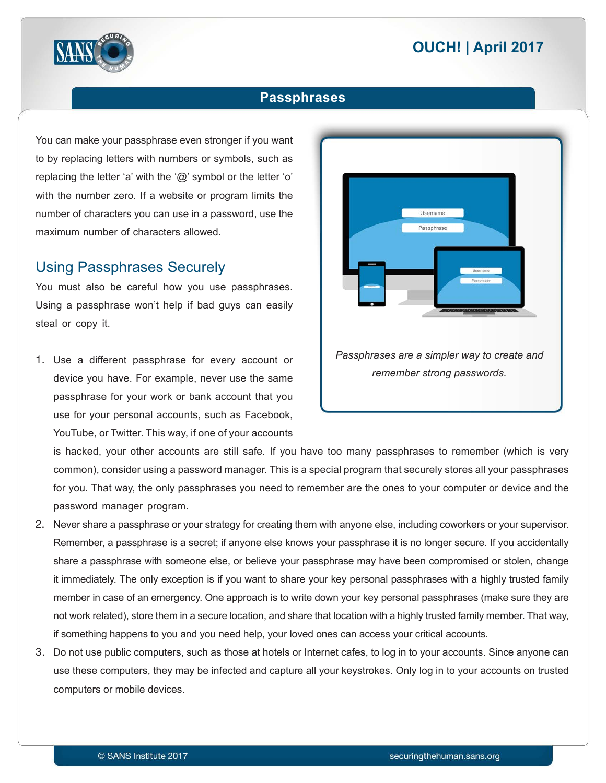# **2017 April 2017**



#### **Passphrases**

You can make your passphrase even stronger if you want to by replacing letters with numbers or symbols, such as replacing the letter 'a' with the ' $@$ ' symbol or the letter 'o' with the number zero. If a website or program limits the number of characters you can use in a password, use the maximum number of characters allowed.

#### **Using Passphrases Securely**

You must also be careful how you use passphrases. Using a passphrase won't help if bad guys can easily steal or copy it.

1. Use a different passphrase for every account or device you have. For example, never use the same passphrase for your work or bank account that you use for your personal accounts, such as Facebook, YouTube, or Twitter. This way, if one of your accounts



is hacked, your other accounts are still safe. If you have too many passphrases to remember (which is very common), consider using a password manager. This is a special program that securely stores all your passphrases for you. That way, the only passphrases you need to remember are the ones to your computer or device and the password manager program.

- 2. Never share a passphrase or your strategy for creating them with anyone else, including coworkers or your supervisor. Remember, a passphrase is a secret; if anyone else knows your passphrase it is no longer secure. If you accidentally share a passphrase with someone else, or believe your passphrase may have been compromised or stolen, change it immediately. The only exception is if you want to share your key personal passphrases with a highly trusted family member in case of an emergency. One approach is to write down your key personal passphrases (make sure they are not work related), store them in a secure location, and share that location with a highly trusted family member. That way, if something happens to you and you need help, your loved ones can access your critical accounts.
- 3. Do not use public computers, such as those at hotels or Internet cafes, to log in to your accounts. Since anyone can use these computers, they may be infected and capture all your keystrokes. Only log in to your accounts on trusted computers or mobile devices.